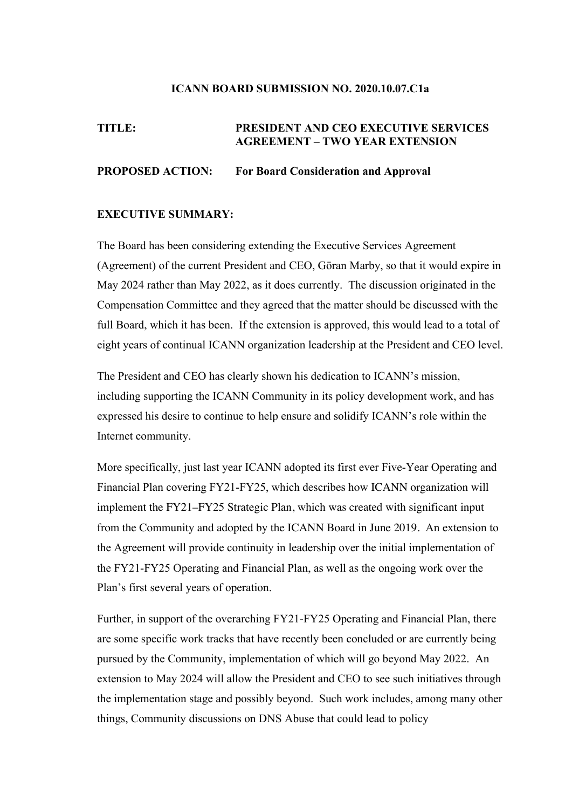#### **ICANN BOARD SUBMISSION NO. 2020.10.07.C1a**

# **TITLE: PRESIDENT AND CEO EXECUTIVE SERVICES AGREEMENT – TWO YEAR EXTENSION**

## **PROPOSED ACTION: For Board Consideration and Approval**

#### **EXECUTIVE SUMMARY:**

The Board has been considering extending the Executive Services Agreement (Agreement) of the current President and CEO, Göran Marby, so that it would expire in May 2024 rather than May 2022, as it does currently. The discussion originated in the Compensation Committee and they agreed that the matter should be discussed with the full Board, which it has been. If the extension is approved, this would lead to a total of eight years of continual ICANN organization leadership at the President and CEO level.

The President and CEO has clearly shown his dedication to ICANN's mission, including supporting the ICANN Community in its policy development work, and has expressed his desire to continue to help ensure and solidify ICANN's role within the Internet community.

More specifically, just last year ICANN adopted its first ever Five-Year Operating and Financial Plan covering FY21-FY25, which describes how ICANN organization will implement the FY21–FY25 Strategic Plan, which was created with significant input from the Community and adopted by the ICANN Board in June 2019. An extension to the Agreement will provide continuity in leadership over the initial implementation of the FY21-FY25 Operating and Financial Plan, as well as the ongoing work over the Plan's first several years of operation.

Further, in support of the overarching FY21-FY25 Operating and Financial Plan, there are some specific work tracks that have recently been concluded or are currently being pursued by the Community, implementation of which will go beyond May 2022. An extension to May 2024 will allow the President and CEO to see such initiatives through the implementation stage and possibly beyond. Such work includes, among many other things, Community discussions on DNS Abuse that could lead to policy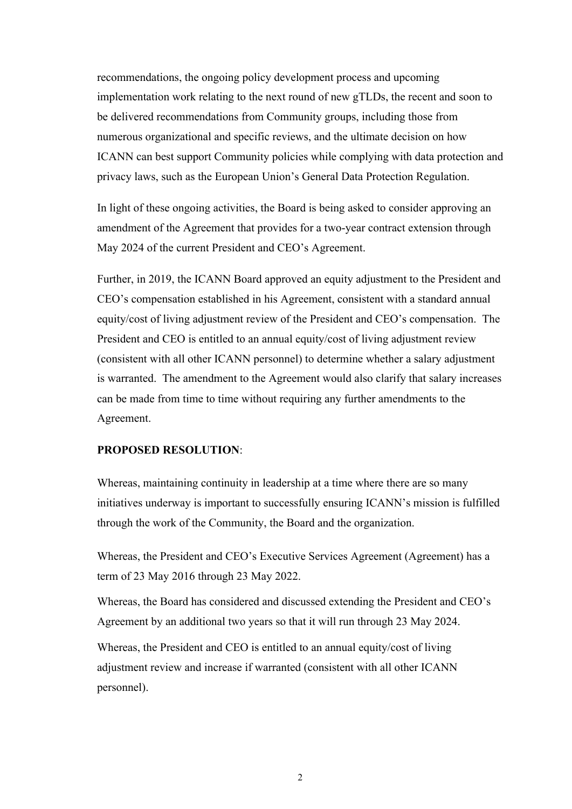recommendations, the ongoing policy development process and upcoming implementation work relating to the next round of new gTLDs, the recent and soon to be delivered recommendations from Community groups, including those from numerous organizational and specific reviews, and the ultimate decision on how ICANN can best support Community policies while complying with data protection and privacy laws, such as the European Union's General Data Protection Regulation.

In light of these ongoing activities, the Board is being asked to consider approving an amendment of the Agreement that provides for a two-year contract extension through May 2024 of the current President and CEO's Agreement.

Further, in 2019, the ICANN Board approved an equity adjustment to the President and CEO's compensation established in his Agreement, consistent with a standard annual equity/cost of living adjustment review of the President and CEO's compensation. The President and CEO is entitled to an annual equity/cost of living adjustment review (consistent with all other ICANN personnel) to determine whether a salary adjustment is warranted. The amendment to the Agreement would also clarify that salary increases can be made from time to time without requiring any further amendments to the Agreement.

### **PROPOSED RESOLUTION**:

Whereas, maintaining continuity in leadership at a time where there are so many initiatives underway is important to successfully ensuring ICANN's mission is fulfilled through the work of the Community, the Board and the organization.

Whereas, the President and CEO's Executive Services Agreement (Agreement) has a term of 23 May 2016 through 23 May 2022.

Whereas, the Board has considered and discussed extending the President and CEO's Agreement by an additional two years so that it will run through 23 May 2024.

Whereas, the President and CEO is entitled to an annual equity/cost of living adjustment review and increase if warranted (consistent with all other ICANN personnel).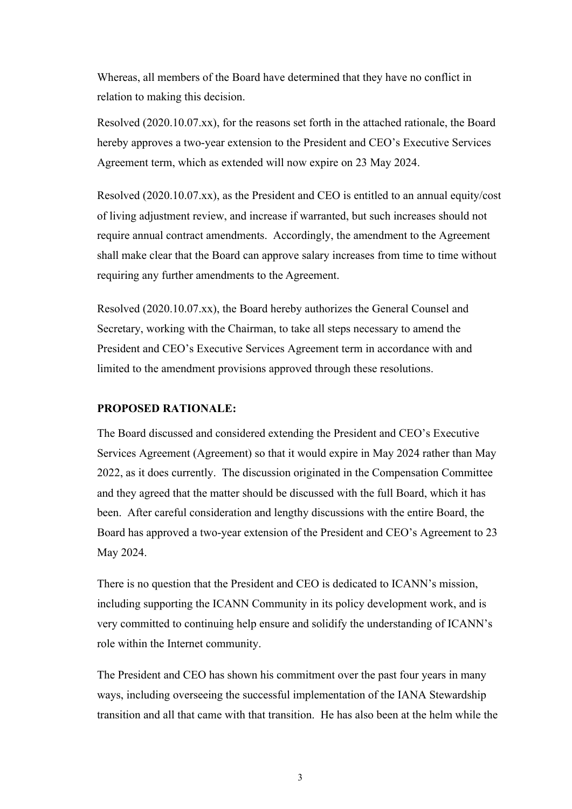Whereas, all members of the Board have determined that they have no conflict in relation to making this decision.

Resolved (2020.10.07.xx), for the reasons set forth in the attached rationale, the Board hereby approves a two-year extension to the President and CEO's Executive Services Agreement term, which as extended will now expire on 23 May 2024.

Resolved (2020.10.07.xx), as the President and CEO is entitled to an annual equity/cost of living adjustment review, and increase if warranted, but such increases should not require annual contract amendments. Accordingly, the amendment to the Agreement shall make clear that the Board can approve salary increases from time to time without requiring any further amendments to the Agreement.

Resolved (2020.10.07.xx), the Board hereby authorizes the General Counsel and Secretary, working with the Chairman, to take all steps necessary to amend the President and CEO's Executive Services Agreement term in accordance with and limited to the amendment provisions approved through these resolutions.

## **PROPOSED RATIONALE:**

The Board discussed and considered extending the President and CEO's Executive Services Agreement (Agreement) so that it would expire in May 2024 rather than May 2022, as it does currently. The discussion originated in the Compensation Committee and they agreed that the matter should be discussed with the full Board, which it has been. After careful consideration and lengthy discussions with the entire Board, the Board has approved a two-year extension of the President and CEO's Agreement to 23 May 2024.

There is no question that the President and CEO is dedicated to ICANN's mission, including supporting the ICANN Community in its policy development work, and is very committed to continuing help ensure and solidify the understanding of ICANN's role within the Internet community.

The President and CEO has shown his commitment over the past four years in many ways, including overseeing the successful implementation of the IANA Stewardship transition and all that came with that transition. He has also been at the helm while the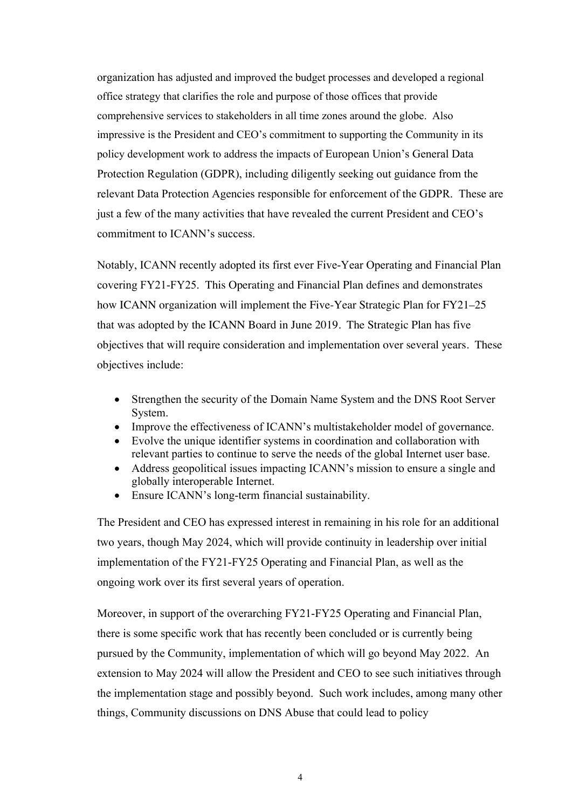organization has adjusted and improved the budget processes and developed a regional office strategy that clarifies the role and purpose of those offices that provide comprehensive services to stakeholders in all time zones around the globe. Also impressive is the President and CEO's commitment to supporting the Community in its policy development work to address the impacts of European Union's General Data Protection Regulation (GDPR), including diligently seeking out guidance from the relevant Data Protection Agencies responsible for enforcement of the GDPR. These are just a few of the many activities that have revealed the current President and CEO's commitment to ICANN's success.

Notably, ICANN recently adopted its first ever Five-Year Operating and Financial Plan covering FY21-FY25. This Operating and Financial Plan defines and demonstrates how ICANN organization will implement the Five-Year Strategic Plan for FY21–25 that was adopted by the ICANN Board in June 2019. The Strategic Plan has five objectives that will require consideration and implementation over several years. These objectives include:

- Strengthen the security of the Domain Name System and the DNS Root Server System.
- Improve the effectiveness of ICANN's multistakeholder model of governance.
- Evolve the unique identifier systems in coordination and collaboration with relevant parties to continue to serve the needs of the global Internet user base.
- Address geopolitical issues impacting ICANN's mission to ensure a single and globally interoperable Internet.
- Ensure ICANN's long-term financial sustainability.

The President and CEO has expressed interest in remaining in his role for an additional two years, though May 2024, which will provide continuity in leadership over initial implementation of the FY21-FY25 Operating and Financial Plan, as well as the ongoing work over its first several years of operation.

Moreover, in support of the overarching FY21-FY25 Operating and Financial Plan, there is some specific work that has recently been concluded or is currently being pursued by the Community, implementation of which will go beyond May 2022. An extension to May 2024 will allow the President and CEO to see such initiatives through the implementation stage and possibly beyond. Such work includes, among many other things, Community discussions on DNS Abuse that could lead to policy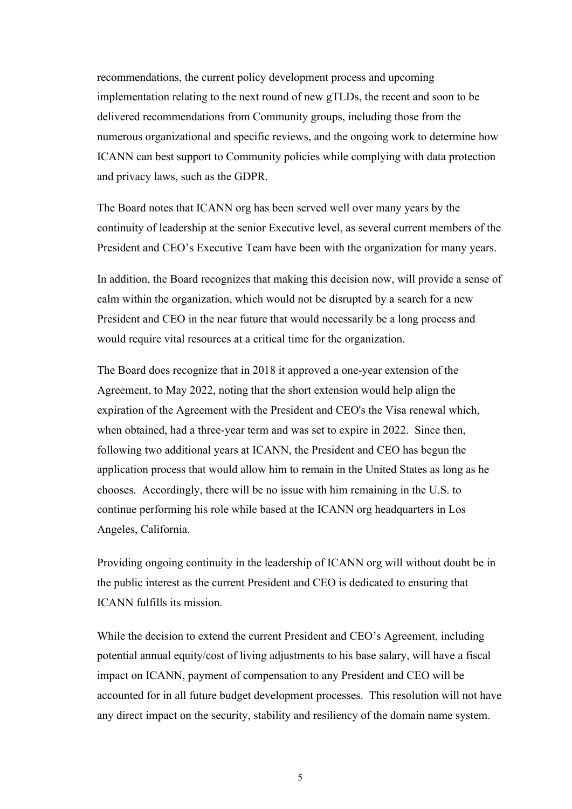recommendations, the current policy development process and upcoming implementation relating to the next round of new gTLDs, the recent and soon to be delivered recommendations from Community groups, including those from the numerous organizational and specific reviews, and the ongoing work to determine how ICANN can best support to Community policies while complying with data protection and privacy laws, such as the GDPR.

The Board notes that ICANN org has been served well over many years by the continuity of leadership at the senior Executive level, as several current members of the President and CEO's Executive Team have been with the organization for many years.

In addition, the Board recognizes that making this decision now, will provide a sense of calm within the organization, which would not be disrupted by a search for a new President and CEO in the near future that would necessarily be a long process and would require vital resources at a critical time for the organization.

The Board does recognize that in 2018 it approved a one-year extension of the Agreement, to May 2022, noting that the short extension would help align the expiration of the Agreement with the President and CEO's the Visa renewal which, when obtained, had a three-year term and was set to expire in 2022. Since then, following two additional years at ICANN, the President and CEO has begun the application process that would allow him to remain in the United States as long as he chooses. Accordingly, there will be no issue with him remaining in the U.S. to continue performing his role while based at the ICANN org headquarters in Los Angeles, California.

Providing ongoing continuity in the leadership of ICANN org will without doubt be in the public interest as the current President and CEO is dedicated to ensuring that ICANN fulfills its mission.

While the decision to extend the current President and CEO's Agreement, including potential annual equity/cost of living adjustments to his base salary, will have a fiscal impact on ICANN, payment of compensation to any President and CEO will be accounted for in all future budget development processes. This resolution will not have any direct impact on the security, stability and resiliency of the domain name system.

5